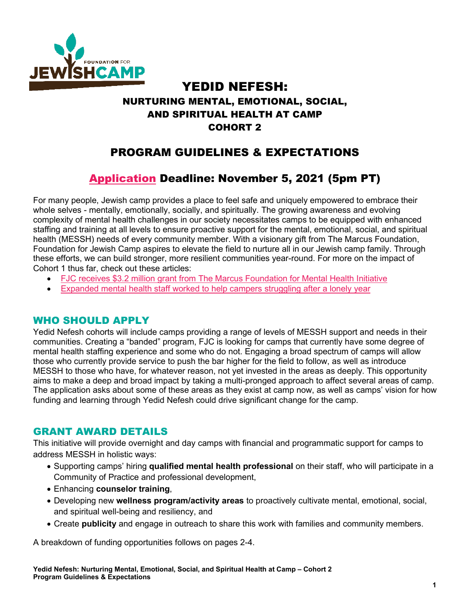

# YEDID NEFESH: NURTURING MENTAL, EMOTIONAL, SOCIAL, AND SPIRITUAL HEALTH AT CAMP COHORT 2

# PROGRAM GUIDELINES & EXPECTATIONS

# [Application](https://www.tfaforms.com/4928163) Deadline: November 5, 2021 (5pm PT)

For many people, Jewish camp provides a place to feel safe and uniquely empowered to embrace their whole selves - mentally, emotionally, socially, and spiritually. The growing awareness and evolving complexity of mental health challenges in our society necessitates camps to be equipped with enhanced staffing and training at all levels to ensure proactive support for the mental, emotional, social, and spiritual health (MESSH) needs of every community member. With a visionary gift from The Marcus Foundation, Foundation for Jewish Camp aspires to elevate the field to nurture all in our Jewish camp family. Through these efforts, we can build stronger, more resilient communities year-round. For more on the impact of Cohort 1 thus far, check out these articles:

- [FJC receives \\$3.2 million grant from The Marcus Foundation for Mental Health Initiative](https://ejewishphilanthropy.com/foundation-for-jewish-camp-receives-3-2-million-grant-from-the-marcus-foundation-for-mental-health-initiative/)
- [Expanded mental health staff worked to help campers struggling after a lonely year](https://ejewishphilanthropy.com/expanded-mental-health-staff-worked-to-help-campers-struggling-after-lonely-year/)

### WHO SHOULD APPLY

Yedid Nefesh cohorts will include camps providing a range of levels of MESSH support and needs in their communities. Creating a "banded" program, FJC is looking for camps that currently have some degree of mental health staffing experience and some who do not. Engaging a broad spectrum of camps will allow those who currently provide service to push the bar higher for the field to follow, as well as introduce MESSH to those who have, for whatever reason, not yet invested in the areas as deeply. This opportunity aims to make a deep and broad impact by taking a multi-pronged approach to affect several areas of camp. The application asks about some of these areas as they exist at camp now, as well as camps' vision for how funding and learning through Yedid Nefesh could drive significant change for the camp.

## GRANT AWARD DETAILS

This initiative will provide overnight and day camps with financial and programmatic support for camps to address MESSH in holistic ways:

- Supporting camps' hiring **qualified mental health professional** on their staff, who will participate in a Community of Practice and professional development,
- Enhancing **counselor training**,
- Developing new **wellness program/activity areas** to proactively cultivate mental, emotional, social, and spiritual well-being and resiliency, and
- Create **publicity** and engage in outreach to share this work with families and community members.

A breakdown of funding opportunities follows on pages 2-4.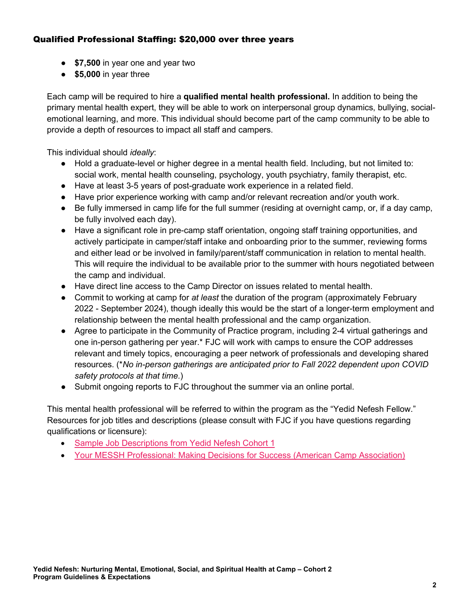#### Qualified Professional Staffing: \$20,000 over three years

- **\$7,500** in year one and year two
- **\$5,000** in year three

Each camp will be required to hire a **qualified mental health professional.** In addition to being the primary mental health expert, they will be able to work on interpersonal group dynamics, bullying, socialemotional learning, and more. This individual should become part of the camp community to be able to provide a depth of resources to impact all staff and campers.

This individual should *ideally*:

- Hold a graduate-level or higher degree in a mental health field. Including, but not limited to: social work, mental health counseling, psychology, youth psychiatry, family therapist, etc.
- Have at least 3-5 years of post-graduate work experience in a related field.
- Have prior experience working with camp and/or relevant recreation and/or youth work.
- Be fully immersed in camp life for the full summer (residing at overnight camp, or, if a day camp, be fully involved each day).
- Have a significant role in pre-camp staff orientation, ongoing staff training opportunities, and actively participate in camper/staff intake and onboarding prior to the summer, reviewing forms and either lead or be involved in family/parent/staff communication in relation to mental health. This will require the individual to be available prior to the summer with hours negotiated between the camp and individual.
- Have direct line access to the Camp Director on issues related to mental health.
- Commit to working at camp for *at least* the duration of the program (approximately February 2022 - September 2024), though ideally this would be the start of a longer-term employment and relationship between the mental health professional and the camp organization.
- Agree to participate in the Community of Practice program, including 2-4 virtual gatherings and one in-person gathering per year.\* FJC will work with camps to ensure the COP addresses relevant and timely topics, encouraging a peer network of professionals and developing shared resources. (\**No in-person gatherings are anticipated prior to Fall 2022 dependent upon COVID safety protocols at that time.*)
- Submit ongoing reports to FJC throughout the summer via an online portal.

This mental health professional will be referred to within the program as the "Yedid Nefesh Fellow." Resources for job titles and descriptions (please consult with FJC if you have questions regarding qualifications or licensure):

- [Sample Job Descriptions from Yedid Nefesh Cohort 1](https://drive.google.com/drive/u/2/folders/1MXoAqaAr5QgfRk-Qq95OpbiWuuvFbX33)
- Your MESSH [Professional: Making Decisions for Success](https://www.acacamps.org/resource-library/camping-magazine/your-mesh-professional-making-decisions-success) (American Camp Association)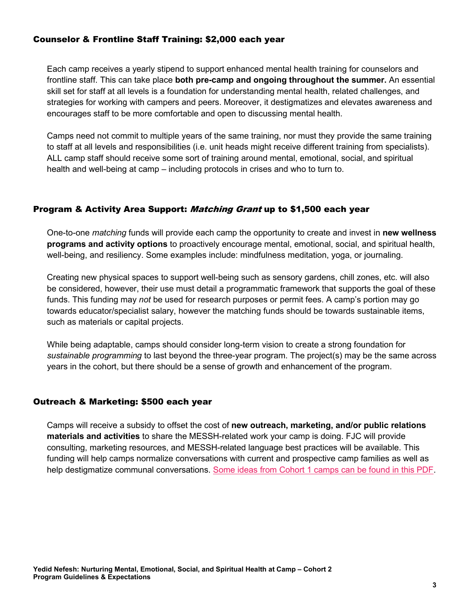#### Counselor & Frontline Staff Training: \$2,000 each year

Each camp receives a yearly stipend to support enhanced mental health training for counselors and frontline staff. This can take place **both pre-camp and ongoing throughout the summer.** An essential skill set for staff at all levels is a foundation for understanding mental health, related challenges, and strategies for working with campers and peers. Moreover, it destigmatizes and elevates awareness and encourages staff to be more comfortable and open to discussing mental health.

Camps need not commit to multiple years of the same training, nor must they provide the same training to staff at all levels and responsibilities (i.e. unit heads might receive different training from specialists). ALL camp staff should receive some sort of training around mental, emotional, social, and spiritual health and well-being at camp – including protocols in crises and who to turn to.

#### Program & Activity Area Support: *Matching Grant* up to \$1,500 each year

One-to-one *matching* funds will provide each camp the opportunity to create and invest in **new wellness programs and activity options** to proactively encourage mental, emotional, social, and spiritual health, well-being, and resiliency. Some examples include: mindfulness meditation, yoga, or journaling.

Creating new physical spaces to support well-being such as sensory gardens, chill zones, etc. will also be considered, however, their use must detail a programmatic framework that supports the goal of these funds. This funding may *not* be used for research purposes or permit fees. A camp's portion may go towards educator/specialist salary, however the matching funds should be towards sustainable items, such as materials or capital projects.

While being adaptable, camps should consider long-term vision to create a strong foundation for *sustainable programming* to last beyond the three-year program. The project(s) may be the same across years in the cohort, but there should be a sense of growth and enhancement of the program.

#### Outreach & Marketing: \$500 each year

Camps will receive a subsidy to offset the cost of **new outreach, marketing, and/or public relations materials and activities** to share the MESSH-related work your camp is doing. FJC will provide consulting, marketing resources, and MESSH-related language best practices will be available. This funding will help camps normalize conversations with current and prospective camp families as well as help destigmatize communal conversations. [Some ideas from Cohort 1 camps can be found in this PDF.](https://foundationforjewishcamp.sharepoint.com/:b:/s/FJCHome/ImmersiveExperience/ESOlfn-hVwBEpGBbsyX78MUBLFewyEAdw5b645UzqAM-PA?e=9y3iSR)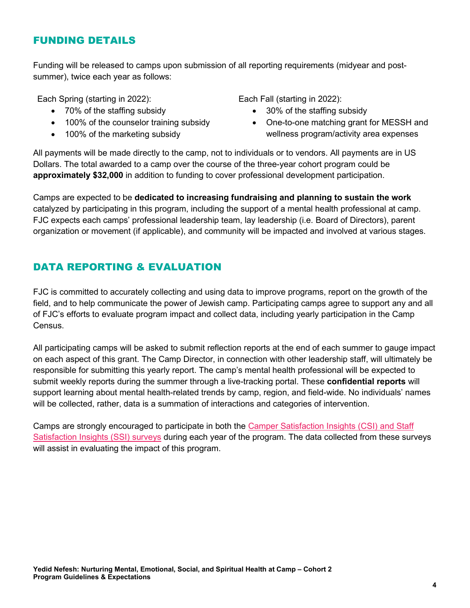## FUNDING DETAILS

Funding will be released to camps upon submission of all reporting requirements (midyear and postsummer), twice each year as follows:

Each Spring (starting in 2022):

- 70% of the staffing subsidy
- 100% of the counselor training subsidy
- 100% of the marketing subsidy

Each Fall (starting in 2022):

- 30% of the staffing subsidy
- One-to-one matching grant for MESSH and wellness program/activity area expenses

All payments will be made directly to the camp, not to individuals or to vendors. All payments are in US Dollars. The total awarded to a camp over the course of the three-year cohort program could be **approximately \$32,000** in addition to funding to cover professional development participation.

Camps are expected to be **dedicated to increasing fundraising and planning to sustain the work** catalyzed by participating in this program, including the support of a mental health professional at camp. FJC expects each camps' professional leadership team, lay leadership (i.e. Board of Directors), parent organization or movement (if applicable), and community will be impacted and involved at various stages.

## DATA REPORTING & EVALUATION

FJC is committed to accurately collecting and using data to improve programs, report on the growth of the field, and to help communicate the power of Jewish camp. Participating camps agree to support any and all of FJC's efforts to evaluate program impact and collect data, including yearly participation in the Camp Census.

All participating camps will be asked to submit reflection reports at the end of each summer to gauge impact on each aspect of this grant. The Camp Director, in connection with other leadership staff, will ultimately be responsible for submitting this yearly report. The camp's mental health professional will be expected to submit weekly reports during the summer through a live-tracking portal. These **confidential reports** will support learning about mental health-related trends by camp, region, and field-wide. No individuals' names will be collected, rather, data is a summation of interactions and categories of intervention.

Camps are strongly encouraged to participate in both the [Camper Satisfaction Insights \(CSI\) and Staff](https://jewishcamp.org/camp-professionals/adaptive-talent/satisfaction-insights/)  [Satisfaction Insights \(SSI\) surveys](https://jewishcamp.org/camp-professionals/adaptive-talent/satisfaction-insights/) during each year of the program. The data collected from these surveys will assist in evaluating the impact of this program.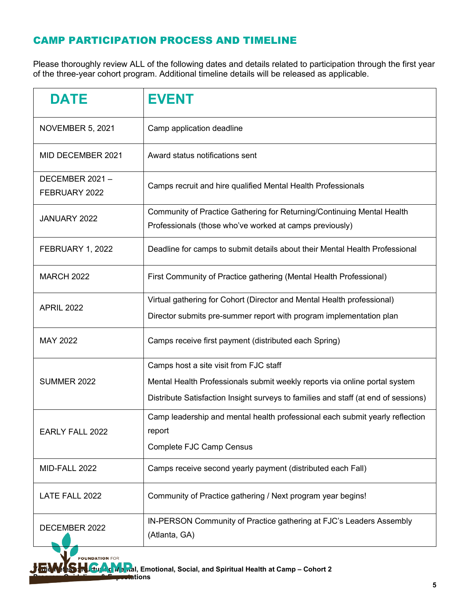# CAMP PARTICIPATION PROCESS AND TIMELINE

Please thoroughly review ALL of the following dates and details related to participation through the first year of the three-year cohort program. Additional timeline details will be released as applicable.

| <b>DATE</b>                     | <b>EVENT</b>                                                                                                                                                                                               |  |
|---------------------------------|------------------------------------------------------------------------------------------------------------------------------------------------------------------------------------------------------------|--|
| <b>NOVEMBER 5, 2021</b>         | Camp application deadline                                                                                                                                                                                  |  |
| MID DECEMBER 2021               | Award status notifications sent                                                                                                                                                                            |  |
| DECEMBER 2021-<br>FEBRUARY 2022 | Camps recruit and hire qualified Mental Health Professionals                                                                                                                                               |  |
| JANUARY 2022                    | Community of Practice Gathering for Returning/Continuing Mental Health<br>Professionals (those who've worked at camps previously)                                                                          |  |
| FEBRUARY 1, 2022                | Deadline for camps to submit details about their Mental Health Professional                                                                                                                                |  |
| <b>MARCH 2022</b>               | First Community of Practice gathering (Mental Health Professional)                                                                                                                                         |  |
| <b>APRIL 2022</b>               | Virtual gathering for Cohort (Director and Mental Health professional)<br>Director submits pre-summer report with program implementation plan                                                              |  |
| MAY 2022                        | Camps receive first payment (distributed each Spring)                                                                                                                                                      |  |
| <b>SUMMER 2022</b>              | Camps host a site visit from FJC staff<br>Mental Health Professionals submit weekly reports via online portal system<br>Distribute Satisfaction Insight surveys to families and staff (at end of sessions) |  |
| <b>EARLY FALL 2022</b>          | Camp leadership and mental health professional each submit yearly reflection<br>report<br><b>Complete FJC Camp Census</b>                                                                                  |  |
| MID-FALL 2022                   | Camps receive second yearly payment (distributed each Fall)                                                                                                                                                |  |
| LATE FALL 2022                  | Community of Practice gathering / Next program year begins!                                                                                                                                                |  |
| DECEMBER 2022                   | IN-PERSON Community of Practice gathering at FJC's Leaders Assembly<br>(Atlanta, GA)                                                                                                                       |  |

 $JEMISM$ <sub>and</sub> M<sub>and</sub>al, Emotional, Social, and Spiritual Health at Camp – Cohort 2

**Program Guidelines** 

**FOUNDATION FOR**